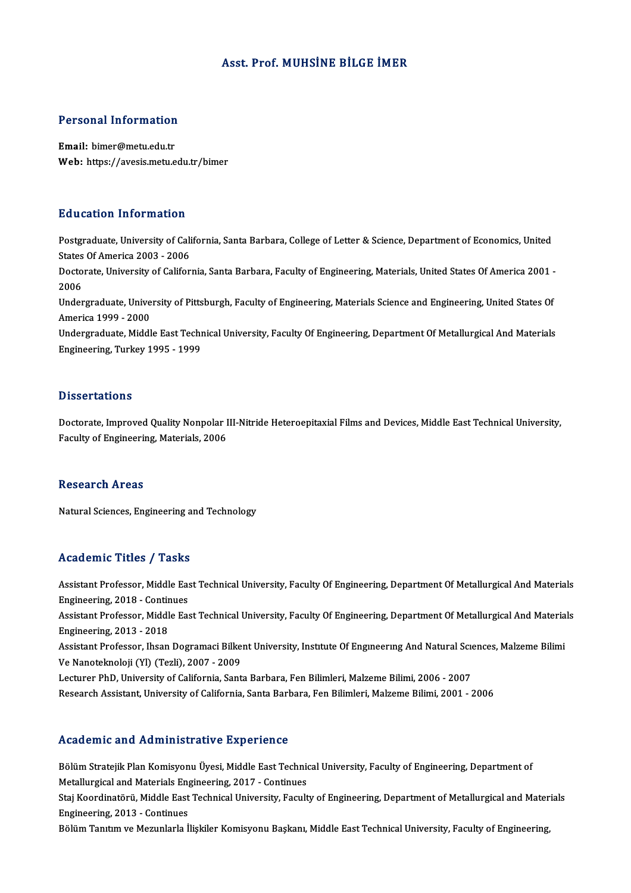## Asst. Prof.MUHSİNE BİLGE İMER

# Personal Information

Personal Information<br>Email: bimer@metu.edu.tr<br>Web: https://avesis.metu.e Email: bimer@metu.edu.tr<br>Web: https://avesis.metu.edu.tr/bimer

### Education Information

Education Information<br>Postgraduate, University of California, Santa Barbara, College of Letter & Science, Department of Economics, United<br>States Of America 2003 - 2006 Euclescon Information<br>Postgraduate, University of Cali<br>States Of America 2003 - 2006<br>Doctorate University of Califor Postgraduate, University of California, Santa Barbara, College of Letter & Science, Department of Economics, United<br>States Of America 2003 - 2006<br>Doctorate, University of California, Santa Barbara, Faculty of Engineering, States<br>Docto<br>2006<br>Under Doctorate, University of California, Santa Barbara, Faculty of Engineering, Materials, United States Of America 2001<br>2006<br>Undergraduate, University of Pittsburgh, Faculty of Engineering, Materials Science and Engineering, 2006<br>Undergraduate, University of Pittsburgh, Faculty of Engineering, Materials Science and Engineering, United States Of<br>America 1999 - 2000 Undergraduate, University of Pittsburgh, Faculty of Engineering, Materials Science and Engineering, United States Of<br>America 1999 - 2000<br>Undergraduate, Middle East Technical University, Faculty Of Engineering, Department O America 1999 - 2000<br>Undergraduate, Middle East Techr<br>Engineering, Turkey 1995 - 1999 Engineering, Turkey 1995 - 1999<br>Dissertations

Dissertations<br>Doctorate, Improved Quality Nonpolar III-Nitride Heteroepitaxial Films and Devices, Middle East Technical University,<br>Fegulty of Engineering, Materials, 2006 Bassea tacrons<br>Doctorate, Improved Quality Nonpolar I<br>Faculty of Engineering, Materials, 2006 Faculty of Engineering, Materials, 2006<br>Research Areas

Natural Sciences, Engineering and Technology

## Academic Titles / Tasks

Academic Titles / Tasks<br>Assistant Professor, Middle East Technical University, Faculty Of Engineering, Department Of Metallurgical And Materials<br>Engineering, 2018, Continues Engineering, 2018 - Continues<br>Engineering, 2018 - Continues<br>Assistant Professor, Middle Fo Assistant Professor, Middle East Technical University, Faculty Of Engineering, Department Of Metallurgical And Materials<br>Engineering, 2018 - Continues<br>Assistant Professor, Middle East Technical University, Faculty Of Engin Engineering, 2018 - Continues<br>Assistant Professor, Middle East Technical University, Faculty Of Engineering, Department Of Metallurgical And Materials<br>Engineering, 2013 - 2018 Assistant Professor, Middle East Technical University, Faculty Of Engineering, Department Of Metallurgical And Materia<br>Engineering, 2013 - 2018<br>Assistant Professor, Ihsan Dogramaci Bilkent University, Institute Of Engineer Engineering, 2013 - 2018<br>Assistant Professor, Ihsan Dogramaci Bilke<br>Ve Nanoteknoloji (Yl) (Tezli), 2007 - 2009<br>Lecturer PhD, University of California Sant Assistant Professor, Ihsan Dogramaci Bilkent University, Institute Of Engineering And Natural Scie<br>Ve Nanoteknoloji (Yl) (Tezli), 2007 - 2009<br>Lecturer PhD, University of California, Santa Barbara, Fen Bilimleri, Malzeme Bi Ve Nanoteknoloji (Yl) (Tezli), 2007 - 2009<br>Lecturer PhD, University of California, Santa Barbara, Fen Bilimleri, Malzeme Bilimi, 2006 - 2007<br>Research Assistant, University of California, Santa Barbara, Fen Bilimleri, Malze Research Assistant, University of California, Santa Barbara, Fen Bilimleri, Malzeme Bilimi, 2001 - 2006<br>Academic and Administrative Experience

Bölüm Stratejik Plan Komisyonu Üyesi, Middle East Technical University, Faculty of Engineering, Department of Metalurme und Mammmoerucryc Enperioneer<br>Bölüm Stratejik Plan Komisyonu Üyesi, Middle East Technic<br>Metallurgical and Materials Engineering, 2017 - Continues<br>Stai Koordinatörü, Middle East Technical University, Facult

Staj Koordinatörü, Middle East Technical University, Faculty of Engineering, Department of Metallurgical and Materials<br>Engineering, 2013 - Continues Metallurgical and Materials Eng<br>Staj Koordinatörü, Middle East<br>Engineering, 2013 - Continues<br>Bölüm Tontim ve Megunlark İ

Bölüm Tanıtım ve Mezunlarla İlişkiler Komisyonu Başkanı, Middle East Technical University, Faculty of Engineering,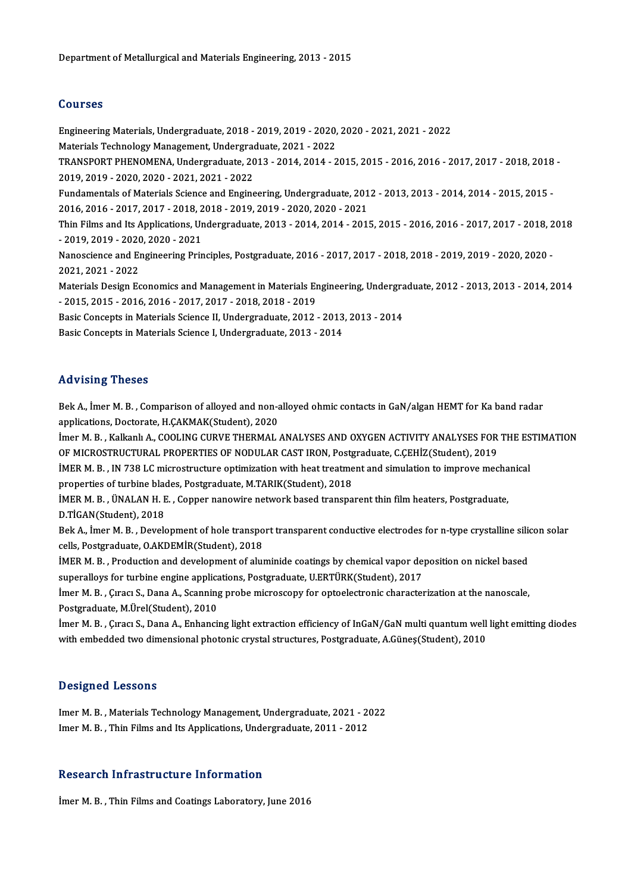### Courses

Courses<br>Engineering Materials, Undergraduate, 2018 - 2019, 2019 - 2020, 2020 - 2021, 2021 - 2022<br>Materials Technology Managament, Undergraduate, 2021, 2022 Sources<br>Engineering Materials, Undergraduate, 2018 - 2019, 2019 - 2020,<br>Materials Technology Management, Undergraduate, 2021 - 2022<br>TRANSPORT PHENOMENA, Undergraduate, 2012 - 2014, 2014 Engineering Materials, Undergraduate, 2018 - 2019, 2019 - 2020, 2020 - 2021, 2021 - 2022<br>Materials Technology Management, Undergraduate, 2021 - 2022<br>TRANSPORT PHENOMENA, Undergraduate, 2013 - 2014, 2014 - 2015, 2015 - 2016 Materials Technology Management, Undergrad<br>TRANSPORT PHENOMENA, Undergraduate, 20<br>2019, 2019 - 2020, 2020 - 2021, 2021 - 2022<br>Eundementals of Materials Science and Engine TRANSPORT PHENOMENA, Undergraduate, 2013 - 2014, 2014 - 2015, 2015 - 2016, 2016 - 2017, 2017 - 2018, 2018<br>2019, 2019 - 2020, 2020 - 2021, 2021 - 2022<br>Fundamentals of Materials Science and Engineering, Undergraduate, 2012 -2019, 2019 - 2020, 2020 - 2021, 2021 - 2022<br>Fundamentals of Materials Science and Engineering, Undergraduate, 2012 - 2013, 2013 - 2014, 2014 - 2015, 2015 -<br>2016, 2016 - 2017, 2017 - 2018, 2018 - 2019, 2019 - 2020, 2020 - 2 Fundamentals of Materials Science and Engineering, Undergraduate, 2012 - 2013, 2013 - 2014, 2014 - 2015, 2015 -<br>2016, 2016 - 2017, 2017 - 2018, 2018 - 2019, 2019 - 2020, 2020 - 2021<br>Thin Films and Its Applications, Undergr 2016, 2016 - 2017, 2017 - 2018, 2<br>Thin Films and Its Applications, Ur<br>- 2019, 2019 - 2020, 2020 - 2021<br>Nanoscionse and Engineering Prin Thin Films and Its Applications, Undergraduate, 2013 - 2014, 2014 - 2015, 2015 - 2016, 2016 - 2017, 2017 - 2018, 2<br>- 2019, 2019 - 2020, 2020 - 2021<br>Nanoscience and Engineering Principles, Postgraduate, 2016 - 2017, 2017 - - 2019, 2019 - 2020, 2020 - 2021<br>Nanoscience and Engineering Principles, Postgraduate, 2016 - 2017, 2017 - 2018, 2018 - 2019, 2019 - 2020, 2020<br>2021, 2021 - 2022 Nanoscience and Engineering Principles, Postgraduate, 2016 - 2017, 2017 - 2018, 2018 - 2019, 2019 - 2020, 2020<br>2021, 2021 - 2022<br>Materials Design Economics and Management in Materials Engineering, Undergraduate, 2012 - 201 2021, 2021 - 2022<br>Materials Design Economics and Management in Materials Er<br>- 2015, 2015 - 2016, 2016 - 2017, 2017 - 2018, 2018 - 2019<br>Besis Consents in Materials Ssiense II Undergraduate 2012 Materials Design Economics and Management in Materials Engineering, Undergra<br>- 2015, 2015 - 2016, 2016 - 2017, 2017 - 2018, 2018 - 2019<br>Basic Concepts in Materials Science II, Undergraduate, 2012 - 2013, 2013 - 2014<br>Basic - 2015, 2015 - 2016, 2016 - 2017, 2017 - 2018, 2018 - 2019<br>Basic Concepts in Materials Science II, Undergraduate, 2012 - 2013<br>Basic Concepts in Materials Science I, Undergraduate, 2013 - 2014 Basic Concepts in Materials Science I, Undergraduate, 2013 - 2014<br>Advising Theses

Advising Theses<br>Bek A., İmer M. B. , Comparison of alloyed and non-alloyed ohmic contacts in GaN/algan HEMT for Ka band radar<br>applications, Dostorate, H.CAKMAK(Student), 2020 applications, Dactors<br>Bek A., İmer M. B. , Comparison of alloyed and non-a<br>applications, Doctorate, H.ÇAKMAK(Student), 2020<br>İmer M. B., Kalkanlı A., COOLING GUBVE THERMAL Bek A., İmer M. B. , Comparison of alloyed and non-alloyed ohmic contacts in GaN/algan HEMT for Ka band radar<br>applications, Doctorate, H.ÇAKMAK(Student), 2020<br>İmer M. B. , Kalkanlı A., COOLING CURVE THERMAL ANALYSES AND OX

applications, Doctorate, H.ÇAKMAK(Student), 2020<br>İmer M. B. , Kalkanlı A., COOLING CURVE THERMAL ANALYSES AND OXYGEN ACTIVITY ANALYSES FOR THE ESTIMATION<br>OF MICROSTRUCTURAL PROPERTIES OF NODULAR CAST IRON, Postgraduate, C. İmer M. B. , Kalkanlı A., COOLING CURVE THERMAL ANALYSES AND OXYGEN ACTIVITY ANALYSES FOR THE ES<br>OF MICROSTRUCTURAL PROPERTIES OF NODULAR CAST IRON, Postgraduate, C.ÇEHİZ(Student), 2019<br>İMER M. B. , IN 738 LC microstructur

OF MICROSTRUCTURAL PROPERTIES OF NODULAR CAST IRON, Postg<br>IMER M. B. , IN 738 LC microstructure optimization with heat treatme<br>properties of turbine blades, Postgraduate, M.TARIK(Student), 2018<br>IMER M. B. (INALAN H. E. Con İMER M. B. , IN 738 LC microstructure optimization with heat treatment and simulation to improve mecha<br>properties of turbine blades, Postgraduate, M.TARIK(Student), 2018<br>İMER M. B. , ÜNALAN H. E. , Copper nanowire network

properties of turbine blades, Postgraduate, M.TARIK(Student), 2018<br>İMER M. B. , ÜNALAN H. E. , Copper nanowire network based transparent thin film heaters, Postgraduate,<br>D.TİGAN(Student), 2018 IMER M. B. , ÜNALAN H. E. , Copper nanowire network based transparent thin film heaters, Postgraduate,<br>D.TIGAN(Student), 2018<br>Bek A., İmer M. B. , Development of hole transport transparent conductive electrodes for n-type

D.TİGAN(Student), 2018<br>Bek A., İmer M. B. , Development of hole transpo<br>cells, Postgraduate, O.AKDEMİR(Student), 2018<br>İMER M. B., Production and davelopment of alu Bek A., İmer M. B. , Development of hole transport transparent conductive electrodes for n-type crystalline sili<br>cells, Postgraduate, O.AKDEMİR(Student), 2018<br>İMER M. B. , Production and development of aluminide coatings b

cells, Postgraduate, O.AKDEMİR(Student), 2018<br>İMER M. B. , Production and development of aluminide coatings by chemical vapor de<br>superalloys for turbine engine applications, Postgraduate, U.ERTÜRK(Student), 2017<br>Imer M. B. IMER M. B. , Production and development of aluminide coatings by chemical vapor deposition on nickel based<br>superalloys for turbine engine applications, Postgraduate, U.ERTÜRK(Student), 2017<br>Imer M. B. , Çıracı S., Dana A.,

superalloys for turbine engine applications, Postgraduate, U.ERTÜRK(Student), 2017<br>İmer M. B. , Çıracı S., Dana A., Scanning probe microscopy for optoelectronic characterization at the nanoscale,<br>Postgraduate, M.Ürel(Stude İmer M. B. , Çıracı S., Dana A., Scanning probe microscopy for optoelectronic characterization at the nanoscale,<br>Postgraduate, M.Ürel(Student), 2010<br>İmer M. B. , Çıracı S., Dana A., Enhancing light extraction efficiency of

Postgraduate, M.Ürel(Student), 2010<br>İmer M. B. , Çıracı S., Dana A., Enhancing light extraction efficiency of InGaN/GaN multi quantum well<br>with embedded two dimensional photonic crystal structures, Postgraduate, A.Güneş(St with embedded two dimensional photonic crystal structures, Postgraduate, A.Güneş(Student), 2010<br>Designed Lessons

Designed Lessons<br>Imer M. B. , Materials Technology Management, Undergraduate, 2021 - 2022<br>Imer M. B., Thin Films and Ita Applications, Undergraduate, 2011, 2012 D'OSIGNOG 'EOSSONS'<br>Imer M. B. , Materials Technology Management, Undergraduate, 2021 - 20<br>Imer M. B. , Thin Films and Its Applications, Undergraduate, 2011 - 2012 Imer M. B. , Thin Films and Its Applications, Undergraduate, 2011 - 2012<br>Research Infrastructure Information

İmer M.B., Thin Films and Coatings Laboratory, June 2016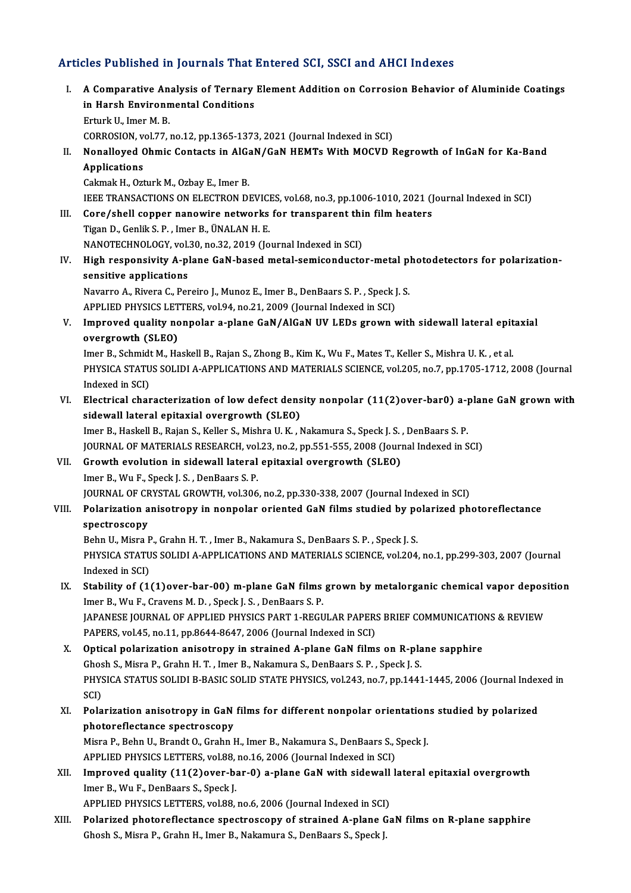# Articles Published in Journals That Entered SCI, SSCI and AHCI Indexes

rticles Published in Journals That Entered SCI, SSCI and AHCI Indexes<br>I. A Comparative Analysis of Ternary Element Addition on Corrosion Behavior of Aluminide Coatings<br>in Harch Environmental Conditions ince Practicular Harsh Environmental Conditions<br>in Harsh Environmental Conditions<br>Enturk II, Imer M. B. A Comparative An<br>in Harsh Environn<br>Erturk U., Imer M. B.<br>COPPOSION .vol 77 . in Harsh Environmental Conditions<br>Erturk U., Imer M. B.<br>CORROSION, vol.77, no.12, pp.1365-1373, 2021 (Journal Indexed in SCI) Erturk U., Imer M. B.<br>CORROSION, vol.77, no.12, pp.1365-1373, 2021 (Journal Indexed in SCI)<br>II. Nonalloyed Ohmic Contacts in AlGaN/GaN HEMTs With MOCVD Regrowth of InGaN for Ka-Band<br>Annisotions CORROSION, v<br>Nonalloyed C<br>Applications Nonalloyed Ohmic Contacts in AlGa<br>Applications<br>Cakmak H., Ozturk M., Ozbay E., Imer B.<br>JEEE TRANSACTIONS ON ELECTRON DI Applications<br>Cakmak H., Ozturk M., Ozbay E., Imer B.<br>IEEE TRANSACTIONS ON ELECTRON DEVICES, vol.68, no.3, pp.1006-1010, 2021 (Journal Indexed in SCI) Cakmak H., Ozturk M., Ozbay E., Imer B.<br>IEEE TRANSACTIONS ON ELECTRON DEVICES, vol.68, no.3, pp.1006-1010, 2021 (J<br>III. Core/shell copper nanowire networks for transparent thin film heaters<br>Tigan D. Coplit S. B. Jmen B. UN THE TRANSACTIONS ON ELECTRON DEVICT<br>**Core/shell copper nanowire networks**<br>Tigan D., Genlik S. P., Imer B., ÜNALAN H. E.<br>NANOTECHNOLOCY VRL30, De 32, 2019 (Je Core/shell copper nanowire networks for transparent thi<br>Tigan D., Genlik S. P. , Imer B., ÜNALAN H. E.<br>NANOTECHNOLOGY, vol.30, no.32, 2019 (Journal Indexed in SCI)<br>High responsivity A plane CaN hased metal semisonduste Tigan D., Genlik S. P. , Imer B., ÜNALAN H. E.<br>NANOTECHNOLOGY, vol.30, no.32, 2019 (Journal Indexed in SCI)<br>IV. High responsivity A-plane GaN-based metal-semiconductor-metal photodetectors for polarization-<br>consitive a NANOTECHNOLOGY, vol.<br>High responsivity A-pl<br>sensitive applications<br>Navarre A-Bivara G-Bar High responsivity A-plane GaN-based metal-semiconductor-metal pl<br>sensitive applications<br>Navarro A., Rivera C., Pereiro J., Munoz E., Imer B., DenBaars S. P. , Speck J. S.<br>APPLIED PHYSICS LETTERS vol.04, no.21, 2009 (Jaurna sensitive applications<br>Navarro A., Rivera C., Pereiro J., Munoz E., Imer B., DenBaars S. P. , Speck J<br>APPLIED PHYSICS LETTERS, vol.94, no.21, 2009 (Journal Indexed in SCI)<br>Impreyed quality perpelar a plane CeN/AICeN IIV J Navarro A., Rivera C., Pereiro J., Munoz E., Imer B., DenBaars S. P. , Speck J. S.<br>APPLIED PHYSICS LETTERS, vol.94, no.21, 2009 (Journal Indexed in SCI)<br>V. Improved quality nonpolar a-plane GaN/AlGaN UV LEDs grown with sid APPLIED PHYSICS LET<br>Improved quality no<br>overgrowth (SLEO)<br>Imar P. Sabmidt M. Ha Improved quality nonpolar a-plane GaN/AlGaN UV LEDs grown with sidewall lateral epit<br>overgrowth (SLEO)<br>Imer B., Schmidt M., Haskell B., Rajan S., Zhong B., Kim K., Wu F., Mates T., Keller S., Mishra U. K. , et al.<br>PHYSICA overgrowth (SLEO)<br>Imer B., Schmidt M., Haskell B., Rajan S., Zhong B., Kim K., Wu F., Mates T., Keller S., Mishra U. K. , et al.<br>PHYSICA STATUS SOLIDI A-APPLICATIONS AND MATERIALS SCIENCE, vol.205, no.7, pp.1705-1712, 2008 Imer B., Schmidt M., Haskell B., Rajan S., Zhong B., Kim K., Wu F., Mates T., Keller S., Mishra U. K., et al. PHYSICA STATUS SOLIDI A-APPLICATIONS AND MATERIALS SCIENCE, vol.205, no.7, pp.1705-1712, 2008 (Journal<br>Indexed in SCI)<br>VI. Electrical characterization of low defect density nonpolar (11(2)over-bar0) a-plane GaN grown with<br> Indexed in SCI)<br>Electrical characterization of low defect dens<br>sidewall lateral epitaxial overgrowth (SLEO)<br>Imar B. Haskall B. Bajan S. Kellar S. Mishna U. K. J Electrical characterization of low defect density nonpolar (11(2)over-bar0) a-<sub>l</sub><br>sidewall lateral epitaxial overgrowth (SLEO)<br>Imer B., Haskell B., Rajan S., Keller S., Mishra U. K. , Nakamura S., Speck J. S. , DenBaars S. sidewall lateral epitaxial overgrowth (SLEO)<br>Imer B., Haskell B., Rajan S., Keller S., Mishra U. K. , Nakamura S., Speck J. S. , DenBaars S. P.<br>JOURNAL OF MATERIALS RESEARCH, vol.23, no.2, pp.551-555, 2008 (Journal Indexed Imer B., Haskell B., Rajan S., Keller S., Mishra U. K. , Nakamura S., Speck J. S.<br>JOURNAL OF MATERIALS RESEARCH, vol.23, no.2, pp.551-555, 2008 (Jour.<br>VII. Growth evolution in sidewall lateral epitaxial overgrowth (SLEO)<br>I **JOURNAL OF MATERIALS RESEARCH, vol<br>Growth evolution in sidewall lateral<br>Imer B., Wu F., Speck J. S. , DenBaars S. P.<br>JOUPNAL OF CPYSTAL CPOWTH VOL306** Growth evolution in sidewall lateral epitaxial overgrowth (SLEO)<br>Imer B., Wu F., Speck J. S. , DenBaars S. P.<br>JOURNAL OF CRYSTAL GROWTH, vol.306, no.2, pp.330-338, 2007 (Journal Indexed in SCI)<br>Polarization anisotrony in n Imer B., Wu F., Speck J. S. , DenBaars S. P.<br>JOURNAL OF CRYSTAL GROWTH, vol.306, no.2, pp.330-338, 2007 (Journal Indexed in SCI)<br>VIII. Polarization anisotropy in nonpolar oriented GaN films studied by polarized photoreflec **JOURNAL OF CF<br>Polarization a<br>spectroscopy**<br>Pohn II, Misra I Polarization anisotropy in nonpolar oriented GaN films studied by po<br>spectroscopy<br>Behn U., Misra P., Grahn H. T. , Imer B., Nakamura S., DenBaars S. P. , Speck J. S.<br>puvsica status Sol IDLA APRLICATIONS AND MATERIALS SCIEN spectroscopy<br>Behn U., Misra P., Grahn H. T. , Imer B., Nakamura S., DenBaars S. P. , Speck J. S.<br>PHYSICA STATUS SOLIDI A-APPLICATIONS AND MATERIALS SCIENCE, vol.204, no.1, pp.299-303, 2007 (Journal<br>Indexed in SCI) Behn U., Misra P., Grahn H. T., Imer B., Nakamura S., DenBaars S. P., Speck J. S. IX. Stability of (1(1)over-bar-00) m-plane GaN films grown by metalorganic chemical vapor deposition Imer B., Wu F., Cravens M. D., Speck J. S., DenBaars S. P. Stability of (1(1)over-bar-00) m-plane GaN films grown by metalorganic chemical vapor deposi<br>Imer B., Wu F., Cravens M. D. , Speck J. S. , DenBaars S. P.<br>JAPANESE JOURNAL OF APPLIED PHYSICS PART 1-REGULAR PAPERS BRIEF COMM Imer B., Wu F., Cravens M. D. , Speck J. S. , DenBaars S. P.<br>JAPANESE JOURNAL OF APPLIED PHYSICS PART 1-REGULAR PAPER:<br>PAPERS, vol.45, no.11, pp.8644-8647, 2006 (Journal Indexed in SCI)<br>Onticel polarization enjectrony in s JAPANESE JOURNAL OF APPLIED PHYSICS PART 1-REGULAR PAPERS BRIEF COMMUNICATION<br>PAPERS, vol.45, no.11, pp.8644-8647, 2006 (Journal Indexed in SCI)<br>X. Optical polarization anisotropy in strained A-plane GaN films on R-plane s PAPERS, vol.45, no.11, pp.8644-8647, 2006 (Journal Indexed in SCI)<br>Optical polarization anisotropy in strained A-plane GaN films on R-pla<br>Ghosh S., Misra P., Grahn H.T., Imer B., Nakamura S., DenBaars S.P., Speck J.S.<br>PHYS Optical polarization anisotropy in strained A-plane GaN films on R-plane sapphire<br>Ghosh S., Misra P., Grahn H. T. , Imer B., Nakamura S., DenBaars S. P. , Speck J. S.<br>PHYSICA STATUS SOLIDI B-BASIC SOLID STATE PHYSICS, vol. Ghos<br>PHYS<br>SCI)<br>Pala PHYSICA STATUS SOLIDI B-BASIC SOLID STATE PHYSICS, vol.243, no.7, pp.1441-1445, 2006 (Journal Index<br>SCI)<br>XI. Polarization anisotropy in GaN films for different nonpolar orientations studied by polarized<br>nhatanaflastance an SCI)<br>XI. Polarization anisotropy in GaN films for different nonpolar orientations studied by polarized<br>photoreflectance spectroscopy Misra P., Behn U., Brandt O., Grahn H., Imer B., Nakamura S., DenBaars S., Speck J. photoreflectance spectroscopy<br>Misra P., Behn U., Brandt O., Grahn H., Imer B., Nakamura S., DenBaars S., !<br>APPLIED PHYSICS LETTERS, vol.88, no.16, 2006 (Journal Indexed in SCI)<br>Impreued quality (11(2)eyer bar Q) a plane Ca Misra P., Behn U., Brandt O., Grahn H., Imer B., Nakamura S., DenBaars S., Speck J.<br>APPLIED PHYSICS LETTERS, vol.88, no.16, 2006 (Journal Indexed in SCI)<br>XII. Improved quality (11(2)over-bar-0) a-plane GaN with sidewall la APPLIED PHYSICS LETTERS, vol.88,<br>Improved quality (11(2)over-b.<br>Imer B., Wu F., DenBaars S., Speck J.<br>APPLIED PHYSICS LETTERS, vol.99 Improved quality (11(2)over-bar-0) a-plane GaN with sidewall<br>Imer B., Wu F., DenBaars S., Speck J.<br>APPLIED PHYSICS LETTERS, vol.88, no.6, 2006 (Journal Indexed in SCI)<br>Polarized photoroflastance spectrosseny of strained A Imer B., Wu F., DenBaars S., Speck J.<br>APPLIED PHYSICS LETTERS, vol.88, no.6, 2006 (Journal Indexed in SCI)<br>XIII. Polarized photoreflectance spectroscopy of strained A-plane GaN films on R-plane sapphire<br>Check S. Misra B. C APPLIED PHYSICS LETTERS, vol.88, no.6, 2006 (Journal Indexed in SCI)<br><mark>Polarized photoreflectance spectroscopy of strained A-plane</mark> G<br>Ghosh S., Misra P., Grahn H., Imer B., Nakamura S., DenBaars S., Speck J.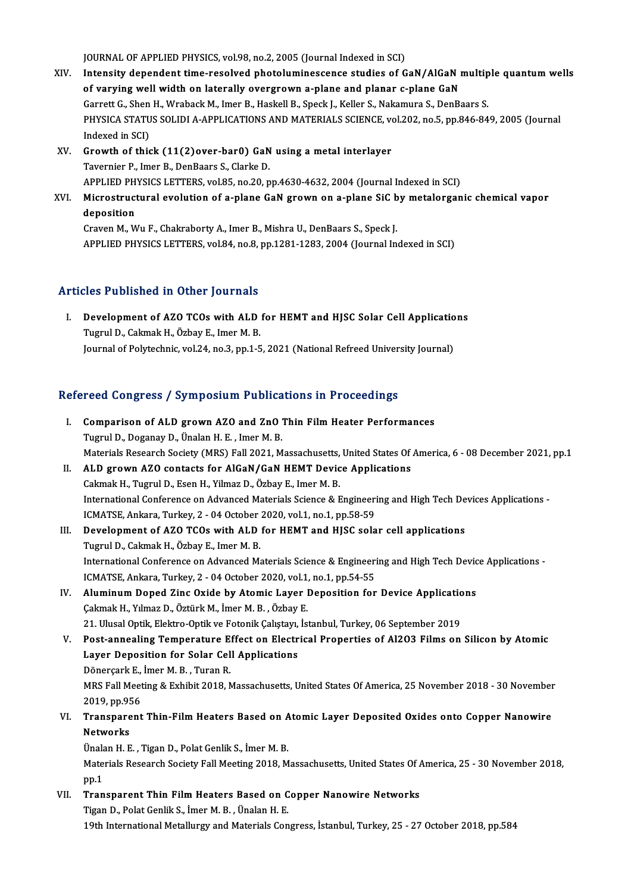JOURNAL OF APPLIED PHYSICS, vol.98, no.2, 2005 (Journal Indexed in SCI)

- JOURNAL OF APPLIED PHYSICS, vol.98, no.2, 2005 (Journal Indexed in SCI)<br>XIV. Intensity dependent time-resolved photoluminescence studies of GaN/AlGaN multiple quantum wells JOURNAL OF APPLIED PHYSICS, vol.98, no.2, 2005 (Journal Indexed in SCI)<br>Intensity dependent time-resolved photoluminescence studies of GaN/AlGaN is<br>of varying well width on laterally overgrown a-plane and planar c-plane Ga Intensity dependent time-resolved photoluminescence studies of GaN/AlGaN multip<br>of varying well width on laterally overgrown a-plane and planar c-plane GaN<br>Garrett G., Shen H., Wraback M., Imer B., Haskell B., Speck J., Ke of varying well width on laterally overgrown a-plane and planar c-plane GaN<br>Garrett G., Shen H., Wraback M., Imer B., Haskell B., Speck J., Keller S., Nakamura S., DenBaars S.<br>PHYSICA STATUS SOLIDI A-APPLICATIONS AND MATER Garrett G., Shen<br>PHYSICA STATU<br>Indexed in SCI)<br>Crowth of this PHYSICA STATUS SOLIDI A-APPLICATIONS AND MATERIALS SCIENCE, vo<br>Indexed in SCI)<br>XV. Growth of thick (11(2)over-bar0) GaN using a metal interlayer<br>Tayorniar B. Jmar B. DanBaars S. Clarke D.
- Indexed in SCI)<br>XV. Growth of thick (11(2)over-bar0) GaN using a metal interlayer<br>Tavernier P., Imer B., DenBaars S., Clarke D. Growth of thick (11(2)over-bar0) GaN using a metal interlayer<br>Tavernier P., Imer B., DenBaars S., Clarke D.<br>APPLIED PHYSICS LETTERS, vol.85, no.20, pp.4630-4632, 2004 (Journal Indexed in SCI)<br>Microstructural avolution of a
- Tavernier P., Imer B., DenBaars S., Clarke D.<br>APPLIED PHYSICS LETTERS, vol.85, no.20, pp.4630-4632, 2004 (Journal Indexed in SCI)<br>XVI. Microstructural evolution of a-plane GaN grown on a-plane SiC by metalorganic chemical APPLIED PH<br>Microstruct<br>deposition<br>Crayon M - M Microstructural evolution of a-plane GaN grown on a-plane SiC b<br>deposition<br>Craven M., Wu F., Chakraborty A., Imer B., Mishra U., DenBaars S., Speck J.<br>APPLIED PHYSICS LETTERS .vel 84, no 8, nn 1291 1292, 2004 (Journal In

deposition<br>Craven M., Wu F., Chakraborty A., Imer B., Mishra U., DenBaars S., Speck J.<br>APPLIED PHYSICS LETTERS, vol.84, no.8, pp.1281-1283, 2004 (Journal Indexed in SCI)

## Articles Published in Other Journals

rticles Published in Other Journals<br>I. Development of AZO TCOs with ALD for HEMT and HJSC Solar Cell Applications<br>Tuggul D. Colmok H. Örboy E. Imer M. P. Tugrul D., Cakmak H., Özbay E., Imer M. B.<br>Tugrul D., Cakmak H., Özbay E., Imer M. B.<br>Journal of Politechnia vel 34, no 3, nn 1, E Development of AZO TCOs with ALD for HEMT and HJSC Solar Cell Applicatio<br>Tugrul D., Cakmak H., Özbay E., Imer M. B.<br>Journal of Polytechnic, vol.24, no.3, pp.1-5, 2021 (National Refreed University Journal)

# Journal of Polytechnic, vol.24, no.3, pp.1-5, 2021 (National Refreed Univer<br>Refereed Congress / Symposium Publications in Proceedings

| Refereed Congress / Symposium Publications in Proceedings |                                                                                                                 |  |
|-----------------------------------------------------------|-----------------------------------------------------------------------------------------------------------------|--|
| I.                                                        | Comparison of ALD grown AZO and ZnO Thin Film Heater Performances                                               |  |
|                                                           | Tugrul D., Doganay D., Ünalan H. E., Imer M. B.                                                                 |  |
|                                                           | Materials Research Society (MRS) Fall 2021, Massachusetts, United States Of America, 6 - 08 December 2021, pp.1 |  |
| П.                                                        | ALD grown AZO contacts for AlGaN/GaN HEMT Device Applications                                                   |  |
|                                                           | Cakmak H., Tugrul D., Esen H., Yilmaz D., Özbay E., Imer M. B.                                                  |  |
|                                                           | International Conference on Advanced Materials Science & Engineering and High Tech Devices Applications -       |  |
|                                                           | ICMATSE, Ankara, Turkey, 2 - 04 October 2020, vol.1, no.1, pp.58-59                                             |  |
| III.                                                      | Development of AZO TCOs with ALD for HEMT and HJSC solar cell applications                                      |  |
|                                                           | Tugrul D., Cakmak H., Özbay E., Imer M. B.                                                                      |  |
|                                                           | International Conference on Advanced Materials Science & Engineering and High Tech Device Applications -        |  |
|                                                           | ICMATSE, Ankara, Turkey, 2 - 04 October 2020, vol.1, no.1, pp.54-55                                             |  |
| IV.                                                       | Aluminum Doped Zinc Oxide by Atomic Layer Deposition for Device Applications                                    |  |
|                                                           | Çakmak H., Yılmaz D., Öztürk M., İmer M. B., Özbay E.                                                           |  |
|                                                           | 21. Ulusal Optik, Elektro-Optik ve Fotonik Çalıştayı, İstanbul, Turkey, 06 September 2019                       |  |
| V.                                                        | Post-annealing Temperature Effect on Electrical Properties of Al2O3 Films on Silicon by Atomic                  |  |
|                                                           | Layer Deposition for Solar Cell Applications                                                                    |  |
|                                                           | Dönerçark E., İmer M. B., Turan R.                                                                              |  |
|                                                           | MRS Fall Meeting & Exhibit 2018, Massachusetts, United States Of America, 25 November 2018 - 30 November        |  |
|                                                           | 2019, pp 956                                                                                                    |  |
| VI.                                                       | Transparent Thin-Film Heaters Based on Atomic Layer Deposited Oxides onto Copper Nanowire                       |  |
|                                                           | <b>Networks</b>                                                                                                 |  |
|                                                           | Ünalan H. E., Tigan D., Polat Genlik S., İmer M. B.                                                             |  |
|                                                           | Materials Research Society Fall Meeting 2018, Massachusetts, United States Of America, 25 - 30 November 2018,   |  |
|                                                           | pp 1                                                                                                            |  |
| VII.                                                      | Transparent Thin Film Heaters Based on Copper Nanowire Networks                                                 |  |
|                                                           | Tigan D., Polat Genlik S., İmer M. B., Ünalan H. E.                                                             |  |
|                                                           | 19th International Metallurgy and Materials Congress, İstanbul, Turkey, 25 - 27 October 2018, pp.584            |  |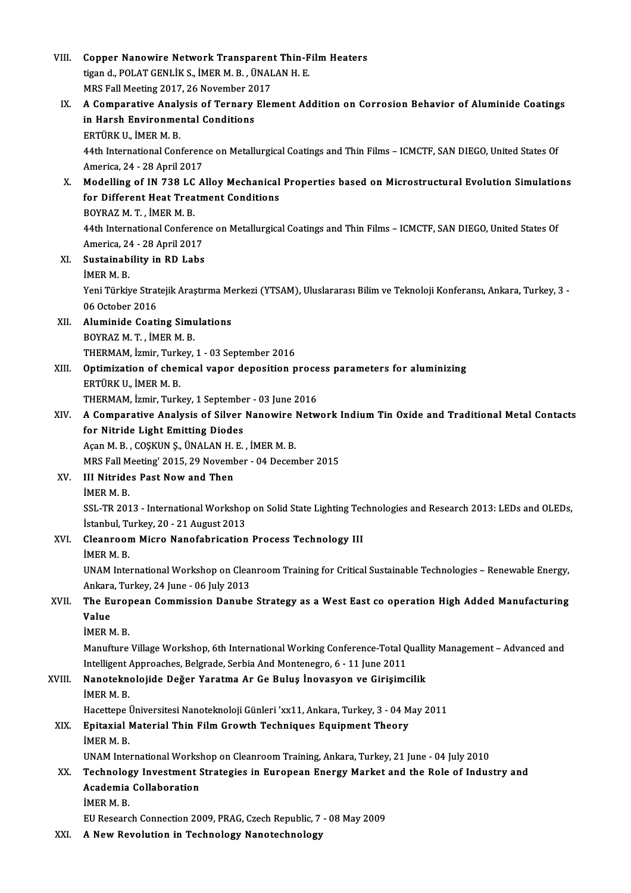| VIII.  | Copper Nanowire Network Transparent Thin-Film Heaters                                                             |
|--------|-------------------------------------------------------------------------------------------------------------------|
|        | tigan d., POLAT GENLİK S., İMER M. B., ÜNALAN H. E.                                                               |
|        | MRS Fall Meeting 2017, 26 November 2017                                                                           |
| IX.    | A Comparative Analysis of Ternary Element Addition on Corrosion Behavior of Aluminide Coatings                    |
|        | in Harsh Environmental Conditions                                                                                 |
|        | ERTÜRK U., İMER M. B.                                                                                             |
|        | 44th International Conference on Metallurgical Coatings and Thin Films - ICMCTF, SAN DIEGO, United States Of      |
|        | America, 24 - 28 April 2017                                                                                       |
| X.     | Modelling of IN 738 LC Alloy Mechanical Properties based on Microstructural Evolution Simulations                 |
|        | for Different Heat Treatment Conditions                                                                           |
|        | BOYRAZ M T, İMER M B.                                                                                             |
|        |                                                                                                                   |
|        | 44th International Conference on Metallurgical Coatings and Thin Films - ICMCTF, SAN DIEGO, United States Of      |
|        | America, 24 - 28 April 2017                                                                                       |
| XI.    | Sustainability in RD Labs                                                                                         |
|        | IMER M.B.                                                                                                         |
|        | Yeni Türkiye Stratejik Araştırma Merkezi (YTSAM), Uluslararası Bilim ve Teknoloji Konferansı, Ankara, Turkey, 3 - |
|        | 06 October 2016                                                                                                   |
| XII.   | <b>Aluminide Coating Simulations</b>                                                                              |
|        | BOYRAZ M T, İMER M B.                                                                                             |
|        | THERMAM, İzmir, Turkey, 1 - 03 September 2016                                                                     |
| XIII.  | Optimization of chemical vapor deposition process parameters for aluminizing                                      |
|        | ERTÜRK U., İMER M. B.                                                                                             |
|        | THERMAM, İzmir, Turkey, 1 September - 03 June 2016                                                                |
| XIV.   | A Comparative Analysis of Silver Nanowire Network Indium Tin Oxide and Traditional Metal Contacts                 |
|        | for Nitride Light Emitting Diodes                                                                                 |
|        | Açan M. B., COŞKUN Ş., ÜNALAN H. E., İMER M. B.                                                                   |
|        | MRS Fall Meeting' 2015, 29 November - 04 December 2015                                                            |
| XV.    | <b>III Nitrides Past Now and Then</b><br>IMER M.B.                                                                |
|        |                                                                                                                   |
|        | SSL-TR 2013 - International Workshop on Solid State Lighting Technologies and Research 2013: LEDs and OLEDs,      |
|        | İstanbul, Turkey, 20 - 21 August 2013                                                                             |
| XVI.   | <b>Cleanroom Micro Nanofabrication Process Technology III</b><br><b>IMER M.B.</b>                                 |
|        |                                                                                                                   |
|        | UNAM International Workshop on Cleanroom Training for Critical Sustainable Technologies - Renewable Energy,       |
|        | Ankara, Turkey, 24 June - 06 July 2013                                                                            |
| XVII.  | The European Commission Danube Strategy as a West East co operation High Added Manufacturing<br>Value             |
|        | <b>IMER M.B.</b>                                                                                                  |
|        | Manufture Village Workshop, 6th International Working Conference-Total Quallity Management - Advanced and         |
|        | Intelligent Approaches, Belgrade, Serbia And Montenegro, 6 - 11 June 2011                                         |
| XVIII. | Nanoteknolojide Değer Yaratma Ar Ge Buluş İnovasyon ve Girişimcilik                                               |
|        | <b>IMER M B</b>                                                                                                   |
|        | Hacettepe Üniversitesi Nanoteknoloji Günleri 'xx11, Ankara, Turkey, 3 - 04 May 2011                               |
| XIX.   | Epitaxial Material Thin Film Growth Techniques Equipment Theory                                                   |
|        | <b>IMER M B</b>                                                                                                   |
|        | UNAM International Workshop on Cleanroom Training, Ankara, Turkey, 21 June - 04 July 2010                         |
| XX.    | Technology Investment Strategies in European Energy Market and the Role of Industry and                           |
|        | Academia Collaboration                                                                                            |
|        | <b>IMER M.B.</b>                                                                                                  |
|        | EU Research Connection 2009, PRAG, Czech Republic, 7 - 08 May 2009                                                |
| XXI.   | A New Revolution in Technology Nanotechnology                                                                     |
|        |                                                                                                                   |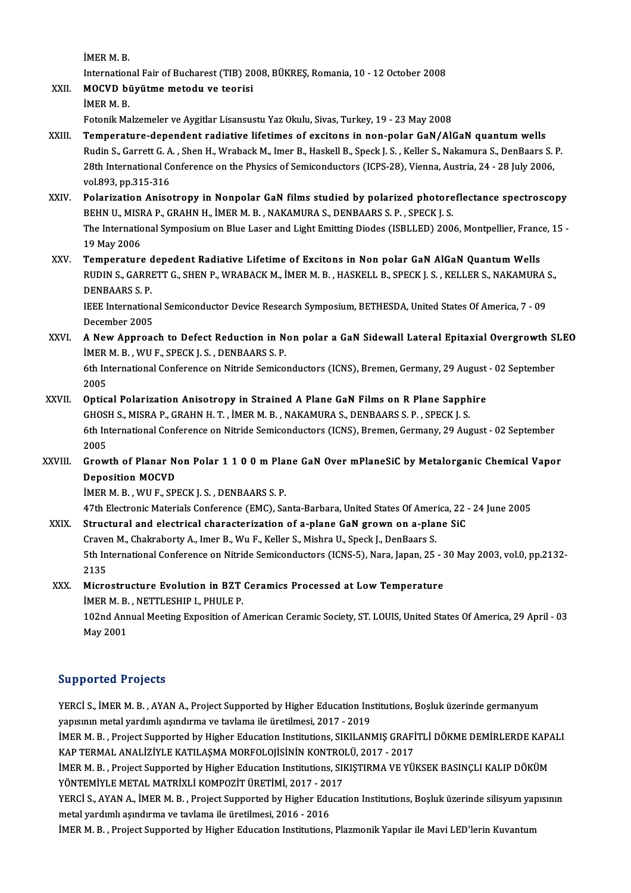İMERM.B.

International Fair of Bucharest (TIB) 2008, BÜKREŞ, Romania, 10 - 12 October 2008 Internation<br>**MOCVD** bi<br>İMER M. B.<br>Estanik Ma

IMER M. B.<br>International Fair of Bucharest (TIB) 20<br>XXII. MOCVD büyütme metodu ve teorisi

İMER M. B.<br>Fotonik Malzemeler ve Aygitlar Lisansustu Yaz Okulu, Sivas, Turkey, 19 - 23 May 2008

- XXIII. Temperature-dependent radiative lifetimes of excitons in non-polar GaN/AlGaN quantum wells Fotonik Malzemeler ve Aygitlar Lisansustu Yaz Okulu, Sivas, Turkey, 19 - 23 May 2008<br>Temperature-dependent radiative lifetimes of excitons in non-polar GaN/AlGaN quantum wells<br>Rudin S., Garrett G. A. , Shen H., Wraback M., Temperature-dependent radiative lifetimes of excitons in non-polar GaN/AlGaN quantum wells<br>Rudin S., Garrett G. A. , Shen H., Wraback M., Imer B., Haskell B., Speck J. S. , Keller S., Nakamura S., DenBaars S.<br>28th Internat Rudin S., Garrett G. A<br>28th International Co<br>vol.893, pp.315-316<br>Bolarization Anise 28th International Conference on the Physics of Semiconductors (ICPS-28), Vienna, Austria, 24 - 28 July 2006,<br>vol.893, pp.315-316<br>XXIV. Polarization Anisotropy in Nonpolar GaN films studied by polarized photoreflectance sp
- vol.893, pp.315-316<br>Polarization Anisotropy in Nonpolar GaN films studied by polarized photore<br>BEHN U., MISRA P., GRAHN H., İMER M. B. , NAKAMURA S., DENBAARS S. P. , SPECK J. S.<br>The International Symposium on Blue Laser a The International Symposium on Blue Laser and Light Emitting Diodes (ISBLLED) 2006, Montpellier, France, 15 -<br>19 May 2006 BEHN U., MISRA P., GRAHN H., İMER M. B., NAKAMURA S., DENBAARS S. P., SPECK J. S. The International Symposium on Blue Laser and Light Emitting Diodes (ISBLLED) 2006, Montpellier, Franc<br>19 May 2006<br>XXV. Temperature depedent Radiative Lifetime of Excitons in Non polar GaN AlGaN Quantum Wells<br>RUDIN S. GARR
- 19 May 2006<br>Temperature depedent Radiative Lifetime of Excitons in Non polar GaN AlGaN Quantum Wells<br>RUDIN S., GARRETT G., SHEN P., WRABACK M., İMER M. B. , HASKELL B., SPECK J. S. , KELLER S., NAKAMURA S.,<br>DENRAARS S. R Temperature<br>RUDIN S., GARRI<br>DENBAARS S. P.<br><sup>IEEE</sup> Internation RUDIN S., GARRETT G., SHEN P., WRABACK M., İMER M. B. , HASKELL B., SPECK J. S. , KELLER S., NAKAMURA S.,<br>DENBAARS S. P.<br>IEEE International Semiconductor Device Research Symposium, BETHESDA, United States Of America, 7 - 0

IEEE International Semiconductor Device Research Symposium, BETHESDA, United States Of America, 7 - 09 IEEE International Semiconductor Device Research Symposium, BETHESDA, United States Of America, 7 - 09<br>December 2005<br>XXVI. A New Approach to Defect Reduction in Non polar a GaN Sidewall Lateral Epitaxial Overgrowth SLEO

December 2005<br>A New Approach to Defect Reduction in N<br>İMER M. B. , WU F., SPECK J. S. , DENBAARS S. P.<br>6th International Conference on Nitride Semise A New Approach to Defect Reduction in Non polar a GaN Sidewall Lateral Epitaxial Overgrowth S<br>IMER M. B. , WU F., SPECK J. S. , DENBAARS S. P.<br>6th International Conference on Nitride Semiconductors (ICNS), Bremen, Germany,

İMER M. B. , WU F., SPECK J. S. , DENBAARS S. P.<br>6th International Conference on Nitride Semiconductors (ICNS), Bremen, Germany, 29 August - 02 September<br>2005 6th International Conference on Nitride Semiconductors (ICNS), Bremen, Germany, 29 August<br>2005<br>XXVII. Optical Polarization Anisotropy in Strained A Plane GaN Films on R Plane Sapphire<br>CHOSH S MISBA B CRAHN H T IMER M B NAK

- 2005<br>Optical Polarization Anisotropy in Strained A Plane GaN Films on R Plane Sapph<br>GHOSH S., MISRA P., GRAHN H. T. , İMER M. B. , NAKAMURA S., DENBAARS S. P. , SPECK J. S.<br>6th International Conference on Nitride Semisondu 6th International Conference on Nitride Semiconductors (ICNS), Bremen, Germany, 29 August - 02 September 2005 GHOSH S., MISRA P., GRAHN H. T., İMER M. B., NAKAMURA S., DENBAARS S. P., SPECK J. S. 6th International Conference on Nitride Semiconductors (ICNS), Bremen, Germany, 29 August - 02 September<br>2005<br>XXVIII. Growth of Planar Non Polar 1 1 0 0 m Plane GaN Over mPlaneSiC by Metalorganic Chemical Vapor<br>Deposition
- 2005<br>Growth of Planar N<br>Deposition MOCVD<br>IMEP M P WILE SPI Growth of Planar Non Polar 1 1 0 0 m Pla:<br>Deposition MOCVD<br>İMER M. B. , WU F., SPECK J. S. , DENBAARS S. P.<br>47th Electronic Metorials Conference (EMC), Se Deposition MOCVD<br>İMER M. B. , WU F., SPECK J. S. , DENBAARS S. P.<br>47th Electronic Materials Conference (EMC), Santa-Barbara, United States Of America, 22 - 24 June 2005<br>Structural and electrical characterization of a plane

- IMER M. B., WU F., SPECK J. S., DENBAARS S. P.<br>47th Electronic Materials Conference (EMC), Santa-Barbara, United States Of America, 22 -<br>XXIX. Structural and electrical characterization of a-plane GaN grown on a-plane SiC 47th Electronic Materials Conference (EMC), Santa-Barbara, United States Of Amer<br>Structural and electrical characterization of a-plane GaN grown on a-plan<br>Craven M., Chakraborty A., Imer B., Wu F., Keller S., Mishra U., Sp Structural and electrical characterization of a-plane GaN grown on a-plane SiC<br>Craven M., Chakraborty A., Imer B., Wu F., Keller S., Mishra U., Speck J., DenBaars S.<br>5th International Conference on Nitride Semiconductors ( Craver<br>5th In<br>2135<br>Micro 5th International Conference on Nitride Semiconductors (ICNS-5), Nara, Japan, 25 - 3<br>2135<br>XXX. Microstructure Evolution in BZT Ceramics Processed at Low Temperature<br>IMER M. B. NETTI ESUIR L. BUILE R.
- 2135<br>Microstructure Evolution in BZT Ceramics Processed at Low Temperature<br>İMER M.B. , NETTLESHIP I., PHULE P. 102nd Annual Meeting Exposition of American Ceramic Society, ST. LOUIS, United States Of America, 29 April - 03

May2001

## Supported Projects

Supported Projects<br>YERCİ S., İMER M. B. , AYAN A., Project Supported by Higher Education Institutions, Boşluk üzerinde germanyum<br>vanyunun matal yardımlı asındırma ve taylama ile ünstilmesi 2017–2019 yappor cea 11999es<br>YERCİ S., İMER M. B. , AYAN A., Project Supported by Higher Education Ins<br>yapısının metal yardımlı aşındırma ve tavlama ile üretilmesi, 2017 - 2019<br>iMER M. B., Project Supported by Higher Education Insti YERCİ S., İMER M. B. , AYAN A., Project Supported by Higher Education Institutions, Boşluk üzerinde germanyum<br>yapısının metal yardımlı aşındırma ve tavlama ile üretilmesi, 2017 - 2019<br>İMER M. B. , Project Supported by High

yapısının metal yardımlı aşındırma ve tavlama ile üretilmesi, 2017 - 2019<br>İMER M. B. , Project Supported by Higher Education Institutions, SIKILANMIŞ GRAFİ<br>KAP TERMAL ANALİZİYLE KATILAŞMA MORFOLOJİSİNİN KONTROLÜ, 2017 - 20 İMER M. B., Project Supported by Higher Education Institutions, SIKILANMIŞ GRAFİTLİ DÖKME DEMİRLERDE KAPA<br>KAP TERMAL ANALİZİYLE KATILAŞMA MORFOLOJİSİNİN KONTROLÜ, 2017 - 2017<br>İMER M. B., Project Supported by Higher Educati

KAP TERMAL ANALİZİYLE KATILAŞMA MORFOLOJİSİNİN KONTRO<br>İMER M. B. , Project Supported by Higher Education Institutions, SII<br>YÖNTEMİYLE METAL MATRİXLİ KOMPOZİT ÜRETİMİ, 2017 - 2017<br>YERÇİ S. AYAN A. İMER M. B., Project Suppor İMER M. B. , Project Supported by Higher Education Institutions, SIKIŞTIRMA VE YÜKSEK BASINÇLI KALIP DÖKÜM<br>YÖNTEMİYLE METAL MATRİXLİ KOMPOZİT ÜRETİMİ, 2017 - 2017<br>YERCİ S., AYAN A., İMER M. B. , Project Supported by Higher

YÖNTEMİYLE METAL MATRİXLİ KOMPOZİT ÜRETİMİ, 2017 - 20<br>YERCİ S., AYAN A., İMER M. B. , Project Supported by Higher Edu<br>metal yardımlı aşındırma ve tavlama ile üretilmesi, 2016 - 2016<br>İMER M. B. , Project Supported by Higher YERCİ S., AYAN A., İMER M. B. , Project Supported by Higher Education Institutions, Boşluk üzerinde silisyum yap<br>metal yardımlı aşındırma ve tavlama ile üretilmesi, 2016 - 2016<br>İMER M. B. , Project Supported by Higher Educ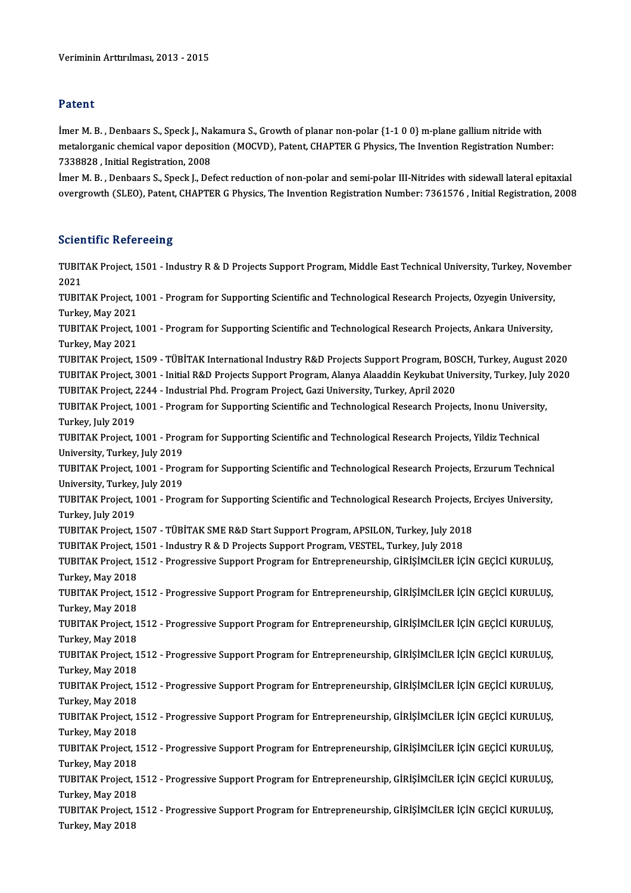## Patent

Patent<br>İmer M. B. , Denbaars S., Speck J., Nakamura S., Growth of planar non-polar {1-1 0 0} m-plane gallium nitride with<br>metalerganis shemical vaner denesition (MOCVD), Batent CHAPTER C Physics. The Invention Begistration metalorganic chemical vapor deposition (MOCVD), Patent, CHAPTER G Physics, The Invention Registration Number:<br>7338828 , Initial Registration, 2008 Imer M. B. , Denbaars S., Speck J., Na.<br>metalorganic chemical vapor deposi<br>7338828 , Initial Registration, 2008<br>Imer M. B., Denbaars S. Speck J. De metalorganic chemical vapor deposition (MOCVD), Patent, CHAPTER G Physics, The Invention Registration Number:<br>7338828 , Initial Registration, 2008<br>İmer M. B. , Denbaars S., Speck J., Defect reduction of non-polar and semi-

7338828 , Initial Registration, 2008<br>İmer M. B. , Denbaars S., Speck J., Defect reduction of non-polar and semi-polar III-Nitrides with sidewall lateral epitaxial<br>overgrowth (SLEO), Patent, CHAPTER G Physics, The Invention overgrowth (SLEO), Patent, CHAPTER G Physics, The Invention Registration Number: 7361576 , Initial Registration, 2008<br>Scientific Refereeing

Scie**ntific Refereeing**<br>TUBITAK Project, 1501 - Industry R & D Projects Support Program, Middle East Technical University, Turkey, November<br>2021 SCIET<br>TUBIT<br>2021<br>TUBIT TUBITAK Project, 1501 - Industry R & D Projects Support Program, Middle East Technical University, Turkey, Novem<br>2021<br>TUBITAK Project, 1001 - Program for Supporting Scientific and Technological Research Projects, Ozyegin U 2021<br>TUBITAK Project, 1001 - Program for Supporting Scientific and Technological Research Projects, Ozyegin University,<br>Turkey, May 2021 TUBITAK Project, 1001 - Program for Supporting Scientific and Technological Research Projects, Ozyegin University,<br>Turkey, May 2021<br>TUBITAK Project, 1001 - Program for Supporting Scientific and Technological Research Proje Turkey, May 2021<br>TUBITAK Project, 1<br>Turkey, May 2021<br>TUBITAK Project 1 TUBITAK Project, 1001 - Program for Supporting Scientific and Technological Research Projects, Ankara University,<br>Turkey, May 2021<br>TUBITAK Project, 1509 - TÜBİTAK International Industry R&D Projects Support Program, BOSCH, Turkey, May 2021<br>TUBITAK Project, 1509 - TÜBİTAK International Industry R&D Projects Support Program, BOSCH, Turkey, August 2020<br>TUBITAK Project, 3001 - Initial R&D Projects Support Program, Alanya Alaaddin Keykubat Univer TUBITAK Project, 1509 - TÜBİTAK International Industry R&D Projects Support Program, BOS<br>TUBITAK Project, 3001 - Initial R&D Projects Support Program, Alanya Alaaddin Keykubat Un<br>TUBITAK Project, 2244 - Industrial Phd. Pro TUBITAK Project, 3001 - Initial R&D Projects Support Program, Alanya Alaaddin Keykubat University, Turkey, July<br>TUBITAK Project, 2244 - Industrial Phd. Program Project, Gazi University, Turkey, April 2020<br>TUBITAK Project, TUBITAK Project, 2244 - Industrial Phd. Program Project, Gazi University, Turkey, April 2020<br>TUBITAK Project, 1001 - Program for Supporting Scientific and Technological Research Proje<br>Turkey, July 2019 TUBITAK Project, 1001 - Program for Supporting Scientific and Technological Research Projects, Inonu University,<br>Turkey, July 2019<br>TUBITAK Project, 1001 - Program for Supporting Scientific and Technological Research Projec TUBITAK Project, 1001 - Program for Supporting Scientific and Technological Research Projects, Yildiz Technical TUBITAK Project, 1001 - Program for Supporting Scientific and Technological Research Projects, Yildiz Technical<br>University, Turkey, July 2019<br>TUBITAK Project, 1001 - Program for Supporting Scientific and Technological Rese University, Turkey, July 2019<br>TUBITAK Project, 1001 - Prog<br>University, Turkey, July 2019<br>TUBITAK Project, 1001 - Prog TUBITAK Project, 1001 - Program for Supporting Scientific and Technological Research Projects, Erzurum Technical<br>University, Turkey, July 2019<br>Turkey, July 2019<br>Turkey, July 2019 University, Turkey, July 2019<br>TUBITAK Project, 1001 - Program for Supporting Scientific and Technological Research Projects, Erciyes University,<br>Turkey, July 2019 TUBITAK Project, 1001 - Program for Supporting Scientific and Technological Research Projects, I<br>Turkey, July 2019<br>TUBITAK Project, 1507 - TÜBİTAK SME R&D Start Support Program, APSILON, Turkey, July 2018<br>TUBITAK Project, Turkey, July 2019<br>TUBITAK Project, 1507 - TÜBİTAK SME R&D Start Support Program, APSILON, Turkey, July 201<br>TUBITAK Project, 1501 - Industry R & D Projects Support Program, VESTEL, Turkey, July 2018<br>TUBITAK Project, 1512 - TUBITAK Project, 1507 - TÜBİTAK SME R&D Start Support Program, APSILON, Turkey, July 2018<br>TUBITAK Project, 1501 - Industry R & D Projects Support Program, VESTEL, Turkey, July 2018<br>TUBITAK Project, 1512 - Progressive Suppo TUBITAK Project, 1<br>TUBITAK Project, 1<br>Turkey, May 2018<br>TUBITAK Project 1 TUBITAK Project, 1512 - Progressive Support Program for Entrepreneurship, GİRİŞİMCİLER İÇİN GEÇİCİ KURULUŞ,<br>Turkey, May 2018<br>TUBITAK Project, 1512 - Progressive Support Program for Entrepreneurship, GİRİŞİMCİLER İÇİN GEÇİC Turkey, May 2018<br>TUBITAK Project, 1<br>Turkey, May 2018<br>TUBITAK Project 1 TUBITAK Project, 1512 - Progressive Support Program for Entrepreneurship, GİRİŞİMCİLER İÇİN GEÇİCİ KURULUŞ,<br>Turkey, May 2018<br>TUBITAK Project, 1512 - Progressive Support Program for Entrepreneurship, GİRİŞİMCİLER İÇİN GEÇİC Turkey, May 2018<br>TUBITAK Project, 1512 - Progressive Support Program for Entrepreneurship, GİRİŞİMCİLER İÇİN GEÇİCİ KURULUŞ,<br>Turkey, May 2018 TUBITAK Project, 1512 - Progressive Support Program for Entrepreneurship, GİRİŞİMCİLER İÇİN GEÇİCİ KURULUŞ,<br>Turkey, May 2018<br>Turkey, May 2018<br>Turkey, May 2018 Turkey, May 2018<br>TUBITAK Project, 1<br>Turkey, May 2018<br>TUBITA*V* Project 1 TUBITAK Project, 1512 - Progressive Support Program for Entrepreneurship, GİRİŞİMCİLER İÇİN GEÇİCİ KURULUŞ,<br>Turkey, May 2018<br>Turkey, May 2018<br>Turkey, May 2018 Turkey, May 2018<br>TUBITAK Project, 1<br>Turkey, May 2018<br>TUBITA*V* Project 1 TUBITAK Project, 1512 - Progressive Support Program for Entrepreneurship, GİRİŞİMCİLER İÇİN GEÇİCİ KURULUŞ,<br>Turkey, May 2018<br>Turkey, May 2018<br>Turkey, May 2018 Turkey, May 2018<br>TUBITAK Project, 1512 - Progressive Support Program for Entrepreneurship, GİRİŞİMCİLER İÇİN GEÇİCİ KURULUŞ,<br>Turkey, May 2018 TUBITAK Project, 1512 - Progressive Support Program for Entrepreneurship, GİRİŞİMCİLER İÇİN GEÇİCİ KURULUŞ,<br>Turkey, May 2018<br>Turkay, May 2018<br>Turkay, May 2018 Turkey, May 2018<br>TUBITAK Project, 1<br>Turkey, May 2018<br>TUBITA*V* Project 1 TUBITAK Project, 1512 - Progressive Support Program for Entrepreneurship, GİRİŞİMCİLER İÇİN GEÇİCİ KURULUŞ,<br>Turkey, May 2018<br>Turkay, May 2018<br>Turkay, May 2018 Turkey, May 2018<br>TUBITAK Project, 1<br>Turkey, May 2018<br>TUBITA*V* Project 1 TUBITAK Project, 1512 - Progressive Support Program for Entrepreneurship, GİRİŞİMCİLER İÇİN GEÇİCİ KURULUŞ,<br>Turkey, May 2018<br>TUBITAK Project, 1512 - Progressive Support Program for Entrepreneurship, GİRİŞİMCİLER İÇİN GEÇİC Turkey, May 2018<br>TUBITAK Project, 1512 - Progressive Support Program for Entrepreneurship, GİRİŞİMCİLER İÇİN GEÇİCİ KURULUŞ,<br>Turkey, May 2018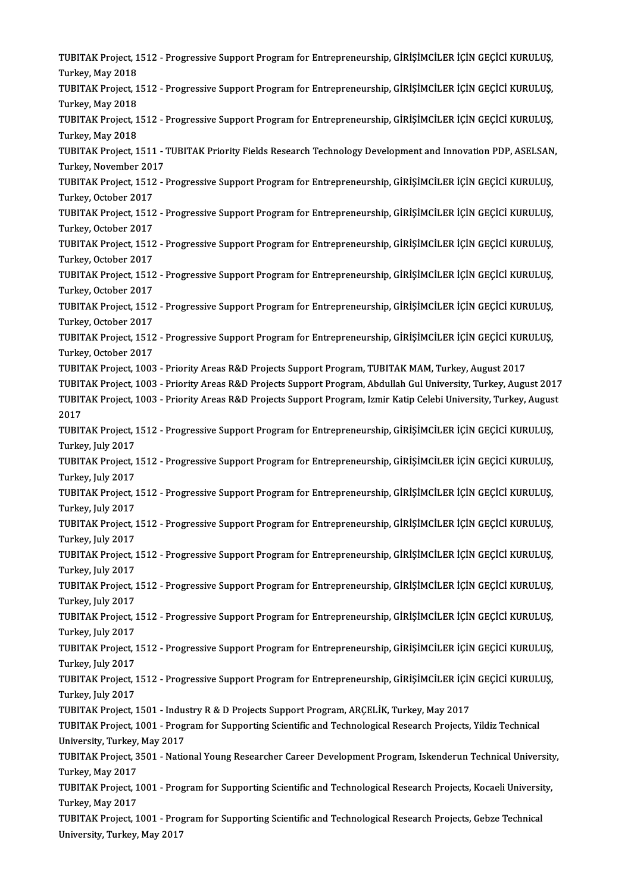TUBITAK Project, 1512 - Progressive Support Program for Entrepreneurship, GİRİŞİMCİLER İÇİN GEÇİCİ KURULUŞ,<br>Turkay, May 2018 TUBITAK Project, 1<br>Turkey, May 2018<br>TUBITA*V* Project 1 TUBITAK Project, 1512 - Progressive Support Program for Entrepreneurship, GİRİŞİMCİLER İÇİN GEÇİCİ KURULUŞ,<br>Turkey, May 2018<br>Turkay, May 2018<br>Turkay, May 2018 Turkey, May 2018<br>TUBITAK Project, 1<br>Turkey, May 2018<br>TUBITA*V* Project 1 TUBITAK Project, 1512 - Progressive Support Program for Entrepreneurship, GİRİŞİMCİLER İÇİN GEÇİCİ KURULUŞ,<br>Turkey, May 2018<br>TUBITAK Project, 1512 - Progressive Support Program for Entrepreneurship, GİRİŞİMCİLER İÇİN GEÇİC Turkey, May 2018<br>TUBITAK Project, 1512 - Progressive Support Program for Entrepreneurship, GİRİŞİMCİLER İÇİN GEÇİCİ KURULUŞ,<br>Turkey, May 2018 TUBITAK Project, 1512 - Progressive Support Program for Entrepreneurship, GİRİŞİMCİLER İÇİN GEÇİCİ KURULUŞ,<br>Turkey, May 2018<br>TUBITAK Project, 1511 - TUBITAK Priority Fields Research Technology Development and Innovation PD Turkey, May 2018<br>TUBITAK Project, 1511 -<br>Turkey, November 2017<br>TUBITAK Project, 1512 TUBITAK Project, 1511 - TUBITAK Priority Fields Research Technology Development and Innovation PDP, ASELSAN<br>Turkey, November 2017<br>TUBITAK Project, 1512 - Progressive Support Program for Entrepreneurship, GİRİŞİMCİLER İÇİN Turkey, November 201<br>TUBITAK Project, 1512<br>Turkey, October 2017<br>TUBITAK Project, 1512 TUBITAK Project, 1512 - Progressive Support Program for Entrepreneurship, GİRİŞİMCİLER İÇİN GEÇİCİ KURULUŞ,<br>Turkey, October 2017<br>TUBITAK Project, 1512 - Progressive Support Program for Entrepreneurship, GİRİŞİMCİLER İÇİN G Turkey, October 2017<br>TUBITAK Project, 1512 - Progressive Support Program for Entrepreneurship, GİRİŞİMCİLER İÇİN GEÇİCİ KURULUŞ,<br>Turkey, October 2017 TUBITAK Project, 1512 - Progressive Support Program for Entrepreneurship, GİRİŞİMCİLER İÇİN GEÇİCİ KURULUŞ, Turkey, October 2017 TUBITAK Project, 1512 - Progressive Support Program for Entrepreneurship, GİRİŞİMCİLER İÇİN GEÇİCİ KURULUŞ,<br>Turkey, October 2017<br>TUBITAK Project, 1512 - Progressive Support Program for Entrepreneurship, GİRİŞİMCİLER İÇİN G Turkey, October 2017<br>TUBITAK Project, 1512<br>Turkey, October 2017<br>TUBITAK Project, 1513 TUBITAK Project, 1512 - Progressive Support Program for Entrepreneurship, GİRİŞİMCİLER İÇİN GEÇİCİ KURULUŞ,<br>Turkey, October 2017<br>TUBITAK Project, 1512 - Progressive Support Program for Entrepreneurship, GİRİŞİMCİLER İÇİN G Turkey, October 2017<br>TUBITAK Project, 1512<br>Turkey, October 2017<br>TUBITAK Project, 1513 TUBITAK Project, 1512 - Progressive Support Program for Entrepreneurship, GİRİŞİMCİLER İÇİN GEÇİCİ KURULUŞ,<br>Turkey, October 2017<br>TUBITAK Project, 1512 - Progressive Support Program for Entrepreneurship, GİRİŞİMCİLER İÇİN G Turkey, October 2017<br>TUBITAK Project, 1512<br>Turkey, October 2017<br>TUBITAK Project, 1003 TUBITAK Project, 1512 - Progressive Support Program for Entrepreneurship, GİRİŞİMCİLER İÇİN GEÇİCİ KUR<br>Turkey, October 2017<br>TUBITAK Project, 1003 - Priority Areas R&D Projects Support Program, TUBITAK MAM, Turkey, August 2 Turkey, October 2017<br>TUBITAK Project, 1003 - Priority Areas R&D Projects Support Program, TUBITAK MAM, Turkey, August 2017<br>TUBITAK Project, 1003 - Priority Areas R&D Projects Support Program, Abdullah Gul University, Turke TUBITAK Project, 1003 - Priority Areas R&D Projects Support Program, TUBITAK MAM, Turkey, August 2017<br>TUBITAK Project, 1003 - Priority Areas R&D Projects Support Program, Abdullah Gul University, Turkey, August 2017<br>TUBITA TUBIT<br>TUBIT<br>2017<br>TUBIT TUBITAK Project, 1003 - Priority Areas R&D Projects Support Program, Izmir Katip Celebi University, Turkey, Augus<br>2017<br>TUBITAK Project, 1512 - Progressive Support Program for Entrepreneurship, GİRİŞİMCİLER İÇİN GEÇİCİ KURU 2017<br>TUBITAK Project, 1<br>Turkey, July 2017<br>TURITAK Project 1 TUBITAK Project, 1512 - Progressive Support Program for Entrepreneurship, GİRİŞİMCİLER İÇİN GEÇİCİ KURULUŞ,<br>Turkey, July 2017<br>Turkey, July 2017<br>Turkey, July 2017 Turkey, July 2017<br>TUBITAK Project, 1512 - Progressive Support Program for Entrepreneurship, GİRİŞİMCİLER İÇİN GEÇİCİ KURULUŞ,<br>Turkey, July 2017 TUBITAK Project, 1512 - Progressive Support Program for Entrepreneurship, GİRİŞİMCİLER İÇİN GEÇİCİ KURULUŞ,<br>Turkey, July 2017<br>Turkey, July 2017<br>Turkey, July 2017 Turkey, July 2017<br>TUBITAK Project, 1<br>Turkey, July 2017<br>TUBITAK Project 1 TUBITAK Project, 1512 - Progressive Support Program for Entrepreneurship, GİRİŞİMCİLER İÇİN GEÇİCİ KURULUŞ,<br>Turkey, July 2017<br>Turkey, July 2017<br>Turkey, July 2017 Turkey, July 2017<br>TUBITAK Project, 1<br>Turkey, July 2017<br>TUBITAK Project 1 TUBITAK Project, 1512 - Progressive Support Program for Entrepreneurship, GİRİŞİMCİLER İÇİN GEÇİCİ KURULUŞ,<br>Turkey, July 2017<br>Turkey, July 2017<br>Turkey, July 2017 Turkey, July 2017<br>TUBITAK Project, 1<br>Turkey, July 2017<br>TUBITAK Project 1 TUBITAK Project, 1512 - Progressive Support Program for Entrepreneurship, GİRİŞİMCİLER İÇİN GEÇİCİ KURULUŞ,<br>Turkey, July 2017<br>Turkey, July 2017<br>Turkey, July 2017 Turkey, July 2017<br>TUBITAK Project, 1<br>Turkey, July 2017<br>TUBITAK Project 1 TUBITAK Project, 1512 - Progressive Support Program for Entrepreneurship, GİRİŞİMCİLER İÇİN GEÇİCİ KURULUŞ,<br>Turkey, July 2017<br>TUBITAK Project, 1512 - Progressive Support Program for Entrepreneurship, GİRİŞİMCİLER İÇİN GEÇİ Turkey, July 2017<br>TUBITAK Project, 1512 - Progressive Support Program for Entrepreneurship, GİRİŞİMCİLER İÇİN GEÇİCİ KURULUŞ,<br>Turkey, July 2017 TUBITAK Project, 1512 - Progressive Support Program for Entrepreneurship, GİRİŞİMCİLER İÇİN GEÇİCİ KURULUŞ,<br>Turkey, July 2017<br>TUBITAK Project, 1512 - Progressive Support Program for Entrepreneurship, GİRİŞİMCİLER İÇİN GEÇİ Turkey, July 2017<br>TUBITAK Project, 1<br>Turkey, July 2017<br>TUBITAK Project 1 TUBITAK Project, 1512 - Progressive Support Program for Entrepreneurship, GİRİŞİMCİLER İÇİN GEÇİCİ KURULUŞ,<br>Turkey, July 2017<br>Turkey, July 2017<br>Turkey, July 2017 Turkey, July 2017<br>TUBITAK Project, 1<br>Turkey, July 2017<br>TUBITAK Project 1 TUBITAK Project, 1512 - Progressive Support Program for Entrepreneurship, GİRİŞİMCİLER İÇİN<br>Turkey, July 2017<br>TUBITAK Project, 1501 - Industry R & D Projects Support Program, ARÇELİK, Turkey, May 2017<br>TUBITAK Project, 1991 Turkey, July 2017<br>TUBITAK Project, 1501 - Industry R & D Projects Support Program, ARÇELİK, Turkey, May 2017<br>TUBITAK Project, 1001 - Program for Supporting Scientific and Technological Research Projects, Yildiz Technical<br>U TUBITAK Project, 1501 - Indus<br>TUBITAK Project, 1001 - Prog<br>University, Turkey, May 2017<br>TUBITAK Project, 2501 - Natio TUBITAK Project, 1001 - Program for Supporting Scientific and Technological Research Projects, Yildiz Technical<br>University, Turkey, May 2017<br>TUBITAK Project, 3501 - National Young Researcher Career Development Program, Isk University, Turkey, May 2017<br>TUBITAK Project, 3501 - National Young Researcher Career Development Program, Iskenderun Technical University,<br>Turkey, May 2017 TUBITAK Project, 3501 - National Young Researcher Career Development Program, Iskenderun Technical University<br>Turkey, May 2017<br>Turkey, May 2017<br>Turkey, May 2017 Turkey, May 2017<br>TUBITAK Project, 1<br>Turkey, May 2017<br>TUBITA*V* Project 1 TUBITAK Project, 1001 - Program for Supporting Scientific and Technological Research Projects, Kocaeli Universit<br>Turkey, May 2017<br>TUBITAK Project, 1001 - Program for Supporting Scientific and Technological Research Project Turkey, May 2017<br>TUBITAK Project, 1001 - Program for Supporting Scientific and Technological Research Projects, Gebze Technical<br>University, Turkey, May 2017